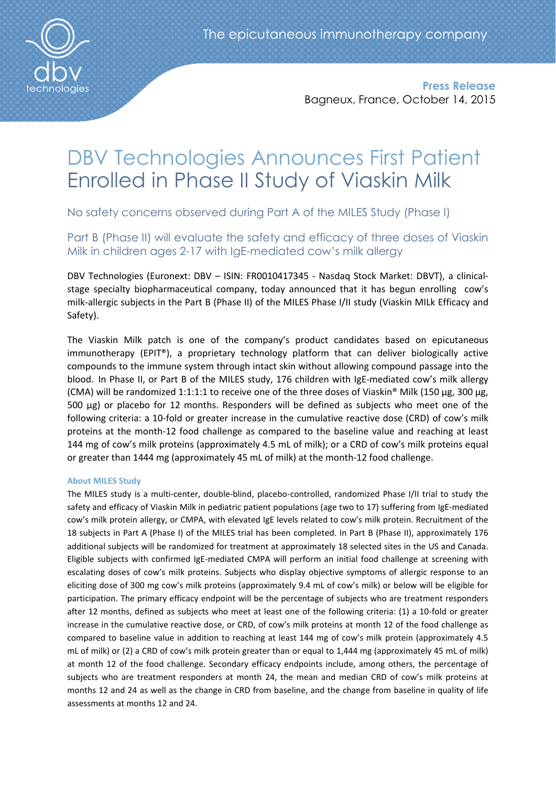

Press Release Bagneux, France, October 14, 2015

# DBV Technologies Announces First Patient Enrolled in Phase II Study of Viaskin Milk

No safety concerns observed during Part A of the MILES Study (Phase I)

Part B (Phase II) will evaluate the safety and efficacy of three doses of Viaskin Milk in children ages 2-17 with IgE-mediated cow's milk allergy

DBV Technologies (Euronext: DBV – ISIN: FR0010417345 - Nasdaq Stock Market: DBVT), a clinicalstage specialty biopharmaceutical company, today announced that it has begun enrolling cow's milk-allergic subjects in the Part B (Phase II) of the MILES Phase I/II study (Viaskin MILk Efficacy and Safety).

The Viaskin Milk patch is one of the company's product candidates based on epicutaneous immunotherapy (EPIT®), a proprietary technology platform that can deliver biologically active compounds to the immune system through intact skin without allowing compound passage into the blood. In Phase II, or Part B of the MILES study, 176 children with IgE-mediated cow's milk allergy (CMA) will be randomized 1:1:1:1 to receive one of the three doses of Viaskin® Milk (150 µg, 300 µg, 500 µg) or placebo for 12 months. Responders will be defined as subjects who meet one of the following criteria: a 10-fold or greater increase in the cumulative reactive dose (CRD) of cow's milk proteins at the month-12 food challenge as compared to the baseline value and reaching at least 144 mg of cow's milk proteins (approximately 4.5 mL of milk); or a CRD of cow's milk proteins equal or greater than 1444 mg (approximately 45 mL of milk) at the month-12 food challenge.

# About MILES Study

The MILES study is a multi-center, double-blind, placebo-controlled, randomized Phase I/II trial to study the safety and efficacy of Viaskin Milk in pediatric patient populations (age two to 17) suffering from IgE-mediated cow's milk protein allergy, or CMPA, with elevated IgE levels related to cow's milk protein. Recruitment of the 18 subjects in Part A (Phase I) of the MILES trial has been completed. In Part B (Phase II), approximately 176 additional subjects will be randomized for treatment at approximately 18 selected sites in the US and Canada. Eligible subjects with confirmed IgE-mediated CMPA will perform an initial food challenge at screening with escalating doses of cow's milk proteins. Subjects who display objective symptoms of allergic response to an eliciting dose of 300 mg cow's milk proteins (approximately 9.4 mL of cow's milk) or below will be eligible for participation. The primary efficacy endpoint will be the percentage of subjects who are treatment responders after 12 months, defined as subjects who meet at least one of the following criteria: (1) a 10-fold or greater increase in the cumulative reactive dose, or CRD, of cow's milk proteins at month 12 of the food challenge as compared to baseline value in addition to reaching at least 144 mg of cow's milk protein (approximately 4.5 mL of milk) or (2) a CRD of cow's milk protein greater than or equal to 1,444 mg (approximately 45 mL of milk) at month 12 of the food challenge. Secondary efficacy endpoints include, among others, the percentage of subjects who are treatment responders at month 24, the mean and median CRD of cow's milk proteins at months 12 and 24 as well as the change in CRD from baseline, and the change from baseline in quality of life assessments at months 12 and 24.